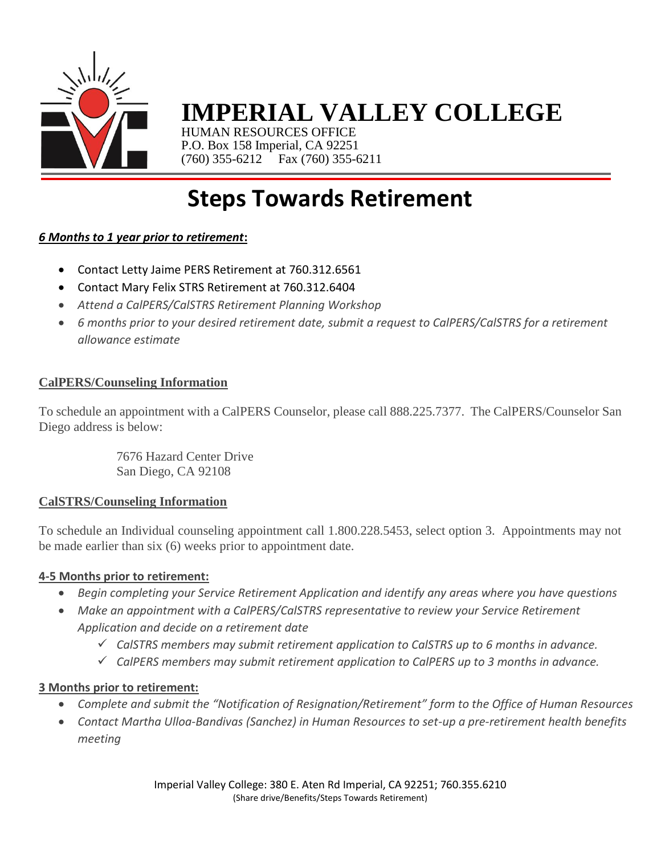

# **IMPERIAL VALLEY COLLEGE**

HUMAN RESOURCES OFFICE P.O. Box 158 Imperial, CA 92251 (760) 355-6212 Fax (760) 355-6211

# **Steps Towards Retirement**

### *6 Months to 1 year prior to retirement***:**

- Contact Letty Jaime PERS Retirement at 760.312.6561
- Contact Mary Felix STRS Retirement at 760.312.6404
- *Attend a CalPERS/CalSTRS Retirement Planning Workshop*
- *6 months prior to your desired retirement date, submit a request to CalPERS/CalSTRS for a retirement allowance estimate*

#### **CalPERS/Counseling Information**

To schedule an appointment with a CalPERS Counselor, please call 888.225.7377. The CalPERS/Counselor San Diego address is below:

> 7676 Hazard Center Drive San Diego, CA 92108

### **CalSTRS/Counseling Information**

To schedule an Individual counseling appointment call 1.800.228.5453, select option 3. Appointments may not be made earlier than six (6) weeks prior to appointment date.

### **4-5 Months prior to retirement:**

- *Begin completing your Service Retirement Application and identify any areas where you have questions*
- *Make an appointment with a CalPERS/CalSTRS representative to review your Service Retirement Application and decide on a retirement date* 
	- *CalSTRS members may submit retirement application to CalSTRS up to 6 months in advance.*
	- *CalPERS members may submit retirement application to CalPERS up to 3 months in advance.*

#### **3 Months prior to retirement:**

- *Complete and submit the "Notification of Resignation/Retirement" form to the Office of Human Resources*
- *Contact Martha Ulloa-Bandivas (Sanchez) in Human Resources to set-up a pre-retirement health benefits meeting*